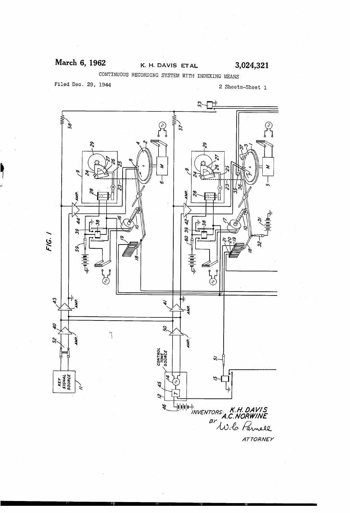## March 6, 1962 K. H. DAVIS ET AL 3,024,321

CONTINUOUS RECORDING SYSTEM WITH INDEXING MEANS

Filed Dec. 29, 1944 2 Sheets-Sheet 1



**ATTORNEY**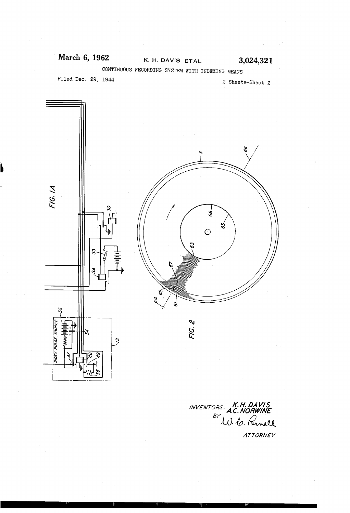### March 6, 1962 K. H. DAVIS ETAL 3,024,321

CONTINUOUS RECORDING SYSTEM WITH INDEXING MEANS

Filed Dec. 29, 1944

2 Sheets-Sheet 2



INVENTORS: **K.H. DAVIS**<br>BY A.C. NORWINE<br>U. C. Parnell

ATTORNEY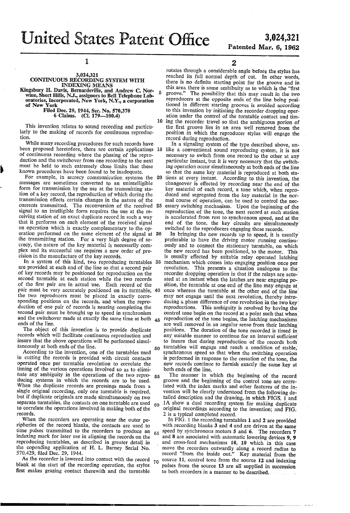United States Patent Office 3,024,321

5

10

# Patented Mar. 6, 1962

## l

### 3,024,321 CONTINUOUS RECORDING SYSTEM WITH INDEXING MEANS

Kingsbury H. Davis, Bernardsville, and Andrew C. Norwine, Short Hills, N.J., assignors to Bell Telephone Laboratories, Incorporated, New York, N.Y., a corporation of New York

Filed Dec. 29, 1944, Ser. No. 570,370 6 Claims. (Cl. 179-100.4)

This invention relates to sound recording and particu larly to the making of records for continuous reproduc tion.

While many recording procedures for such records have<br>en proposed heretofore, there are certain applications 15 been proposed heretofore, there are certain applications of continuous recording where the phasing of the repro duction and the switchover from one recording to the next must be held to such extremely close limits that these known procedures have been found to be inadequate.

For example, in secrecy communication systems the 20 messages are sometimes converted to an unintelligible form for transmission by the use at the transmitting sta tion of a key record, the reproduction of which during the transmission effects certain changes in the nature of the currents transmitted. The reconversion of the received 25 signal to an intelligible form requires the use at the re ceiving station of an exact duplicate record in such a way that it performs on each element of the received signal an operation which is exactly complementary to the op eration performed on the same element of the signal at 30 the transmitting station. For a very high degree of se-<br>crecy, the nature of the key material is necessarily complex and its successful use requires a new order of precision in the manufacture of the key records.

are provided at each end of the line so that a second pair of key records may be positioned for reproduction on the second turntable at each station 'while the two records of the first pair are in actual use. Each record of the pair'must be very accurately positioned on its turntable, 40 the two reproducers must be placed in exactly corre sponding positions on the records, and when the repro duction of one pair of records is nearing completion the second pair must be brought up to speed in synchronism and the switchover made at exactly the same time at both ends of the line. In a system of this kind, two reproducing turntables 35

The object of this invention is to provide duplicate records which will facilitate continuous reproduction and insure that the above operations will be performed simul taneously at both ends of the line. ' 50

According to the invention, one of the turntables used in cutting the records is provided with circuit contacts operated once per turntable revolution to correlate the timing of the various operations involved so as to elimihate any ambiguity in the operations of the two repro ducing systems in which the records are to be used. When the duplicate records are pressings made from a single original recording, only one turntable is required, but if duplicate originals are made simultaneously on two separate turntables, the contacts on one turntable are used to correlate the operations involved in making both of the records. 55  $60$ 

When the recorders are operating near the outer pe ripheries of the record blanks, the contacts are used .to time pulses transmitted to the recorders to produce an  $65$ indexing mark for later use in aligning the records on the reproducing turntables, as described in greater detail in the copending application of H. L. Barney Serial No. 570,429, filed Dec. 29, 1944.

As the recorder is lowered into contact with the record blank at the start of the recording operation, the stylus first makes grazing contact therewith and the turntable 70

2 . rotates through a considerable angle before the stylus has reached its full normal depth of cut. In other words, there is no definite starting point for the groove and in this area there is some ambibuity as to which is the "first groove." The possibility that this may result in the two reproducers at the opposite ends of the line being posi tioned in different starting grooves is avoided according to this invention by initiating the recorder dropping oper ation under the control of the turntable contact and tim ing the recorder travel so that the ambiguous porion of the first groove lies in an area well removed from the position in which the reproducer stylus will engage the

record during reproduction. like a conventional sound reproducing system, it is not necessary to switch from one record to the other at any particular instant, but it is very necessary that the switching operation occur simultaneously at both ends of the line so that the same key material is reproduced at both stations at every instant. According to this invention, the changeover is effected by recording near the end of the. key material of each record, a tone which, when repro mal course of operation, can be used to control the necessary switching mechanism. Upon the beginning of the reproduction of the tone, the next record at each station is accelerated from rest to synchronous speed, and at the end of the tone, the key circuits are simultaneously:

switched to the reproducers engaging these records. In bringing the new records up to speed, it is usually preferable to have the driving motor running continuously and to connect the stationary turntable, on which 45 reproduction of the tone begins, the latching mechanisms the' new record'has been positioned, to the motor. This is usually effected by suitable relay operated latching mechanism which comes into engaging position once per revolution. This presents a situation analogous to the synchronous speed so that when the switching operation<br>is performed in response to the cessation of the tone, the new records continue to furnish exactly the same key at both ends of the line. recorder dropping operation in that if the relays are actuated at an instant when the latches are near engaging po-sition, the turntable at one end of the line may engage at once whereas the turntable at the other end of the line may not engage until the next revolution, thereby introducing a phase difference of one revolution in the two key reproductions. This ambiguity is resolved by having the. control tone begin on the record at a point such that when are well removed in an angular sense from their latching positions. The duration of the tone recorded is timed in any suitable manner to continue for an interval sufficient to insure that during reproduction of the records' both turntables will engage and reach a condition of stable;

The manner in which the beginning of the record groove and the 'beginning of the control tone are corre lated with the index marks and other features of the invention will be clearly understood from the following detailed description and the drawing, in which FIGS. 1 and 1A show a dual recording system for making duplicate original recordings according to the invention; and FIG.' 2 is a typical completed record.

In FIG. 1 the recording turntables 1 and 2' are provided with recording blanks 3 and 4 and are driven at the same speed by synchronous motors 5 and 6. The recorders 7 and 8 are associated with automatic lowering devices  $9, 9$  and cross-feed mechanisms  $10, 10$  which in this case and cross-feed mechanisms 10, 10 which in this case move the recorders outwardly along a record radius to record "from the inside out." Key material from the source 11, control tone from the source 12 and indexing pulses from the source 13 are all supplied in succession to both recorders in a manner to be described.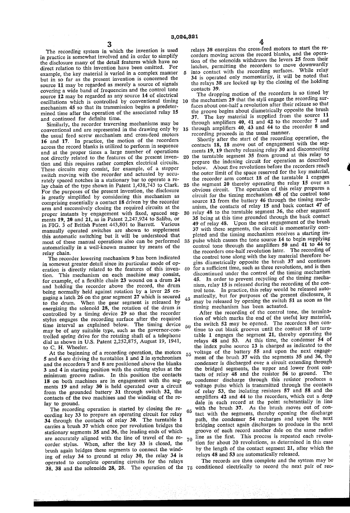The recording system in which the invention is used in practice is somewhat involved and in order to simplify the disclosure many of the detail features which have no direct relation to this invention have been omitted. For example, the key material is varied in a complex manner but in so far as the present invention is concerned the source 11 may be regarded as merely a source of signals covering a wide band of frequencies and the control tone source 12 may be regarded as any source 14 of electrical oscillations which is controlled by conventional timing 10 mechanism 45 so that its transmission begins a predeter mined time after the operation of the associated relay 15 and continued for definite time.

Similarly, the recorder traversing mechanisms may be conventional and are represented in the drawing only by the usual feed screw mechanism and cross-feed motors 16 and 17. In practice, the motion of the recorders across the record blanks is utilized to perform in sequence and at the proper times a large number of operations not directly related to the features of the present inven tion and this requires rather complex electrical circuits. These circuits may consist, for example, of a stepper switch moving with the recorder and actuated by accurately spaced notches in a stationary bar to operate a relay chain of the type shown in Patent 1,438,743 to Clark. For the purposes of the present invention, the disclosure is greatly simplified by considering this mechanism as comprising essentially a contact 18 driven by the recorder arm and successively closing the required circuits at the proper instants by engagement with fixed, spaced segments 19, 20 and 21, as in Patent 2,247,924 to Saliba, or in FIG. 3 of British Patent 443,801 to Barrett. Various manually operated switches are shown to supplement this automatic switching but it will be understood that most of these manual operations also can be performed automatically in a well-known manner by means of the relay chain.

The recorder lowering mechanism 9 has been indicated in somewat greater detail since its particular mode of op eration is directly related to the features of this inven tion. This mechanism on each machine may consist, for example, of a flexible chain 23 wound on a drum 24 and holding the recorder above the record, the drum being normally held against rotation by a lever 25 en gaging a latch 26 on the gear segment 27 which is secured to the drum. When the gear segment is released by energizing the solenoid 28, the rotation of the drum is controlled by a timing device 29' so that the recorder stylus engages the recording surface after the required time interval as explained below. The timing device may be of any suitable type, such as the governor-con trolled spring drive for the rotating shaft of a telephone dial as shown in US. Patent 2,252,875, August 19, 1941, to C. H. Wheeler.

At the beginning of a recording operation, the motors 5 and 6 are driving the turntables 1 and 2 in synchronism and the recorders 7 and 8 are positioned above the blanks 3 and 4 in starting position with the cutting stylus at the minimum groove radius. In this position the contacts 18 on both machines are in engagement with the seg ments 19 and relay 30 is held operated over a circuit from the grounded battery 31 through switch 32, the contacts of the two machines and the winding of the re lay to ground.<br>The recording operation is started by closing the re-

The recording operation is started by closing the recording key 33 to prepare an operating circuit for relay 34 through the contacts of relay 30. The turntable 1 carries a brush 37 which once per revolution bridges the stationary segments 35' and 36, the leading ends of which are accurately aligned with the line of travel of the recorder stylus. When, after the key 33 is closed, the brush again bridges these segments to connect the wind ing of relay 34 to ground at relay 30, the relay 34 is operated to complete operating circuits for the relays 38, 38 and the solenoids 28, 28. The operation of the  $75$  conditioned electrically to record the next pair of rec-

relays 38 energizes the cross-feed motors to start the re corders moving across the record blanks, and the opera tion of the solenoids withdraws the levers 25 from their latches, permitting the recorders to move downwardly into contact with the recording surfaces. While relay 34 is operated only momentarily, it will be noted that the relays 38 are locked up by the closing of the holding contacts 39.

15 The dropping motion of the recorders is so timed by the mechanism 29 that the styli engage the recording sur faces about one-half a revolution after their release so that the groove begins about diametrically opposite the brush 37. The key material is supplied from the source 11 through amplifiers 40, 41 and 42 to the recorder  $\frac{1}{4}$  and through amplifiers 40, 43 and 44 to the recorder 8 and

recording proceeds in the usual manner. Shortly after the start of the recording operation, the contacts 18, 18 move out of engagement with the seg ments 19, 19 thereby releasing relay 30 and disconnecting the turntable segment 35 from ground at this relay to 20 prepare the indexing circuit for operation as described below. About five revolutions before the recorders reach the outer limit of the space reserved for the key material, the recorder arm contact 18 of the turntable 1 engages the segment 20 thereby operating the relay 15 over an 25 the segment 20 thereby operating the relay 13 over an obvious circuit. The operation of this relay prepares a circuit for the timing mechanism 45 of the control tone source 12 from the battery 46 through the timing mechanism, the contacts of relay 15 and back contact 47 of relay 48 to the turntable segment 36, the other segment 30 35 being at this time grounded through the back contact 49 of relay 48. Upon the next engagement of the brush 37 with these segments, the circuit is momentarily com pleted and the timing mechanism receives a starting im pulse which causes the tone source 14» to begin supplying 35 control tone through the amplifiers  $50$  and  $41$  to  $44$  to the recorders one-half revolution later. The recording of the control tone along with the key material therefore begins diametrically opposite the brush 37 and continues for a sufficient time, such as three revolutions, and is then 40 discontinued under the control of the timing mechanism

45. In order to prevent recycling of the timing mecha trol tone. In practice, this relay would be released automatically, but for purposes of the present disclosure, it may be released by opening the switch 51 as soon as the

50 60 condenser discharge through this resistor produces a 70 timing mechanism has been actuated. After the recording of the control tone, the termina tion of which marks the end of the useful key material, the switch 52 may be opened. The recorders then con tinue to cut blank grooves until the contact 18 of turntable 1 engages the segment 21, thereby operating the relays 48 and 53. At this time, the condenser 54 of the index pulse source 13 is charged as indicated to the voltage of the battery 55 and upon the next engagement of the brush 37 with the segments 35 and 36, the condenser is discharged over a circuit extending through the bridged segments, the upper and lower front con tacts of relay 48 and the resistor 56 to ground. The voltage pulse which is transmitted through the contacts of relay 53, the isolating resistors 57 and 58 and the amplifiers 42 and 44 to the recorders, which cut a deep dale in each record at the point substantially in line with the brush 37. As the brush moves out of con tact with the segments, thereby opening the discharge path, the condenser 54 recharges and upon the next bridging contact again discharges to produce in the next groove of each record another dale on the same radius line as the first. This process is repeated each revolution for about 20 revolutions, as determined in this case by the length of the contact segment 21, after which the relays 48 and 53 are automatically released.

The records are then complete and the system may be